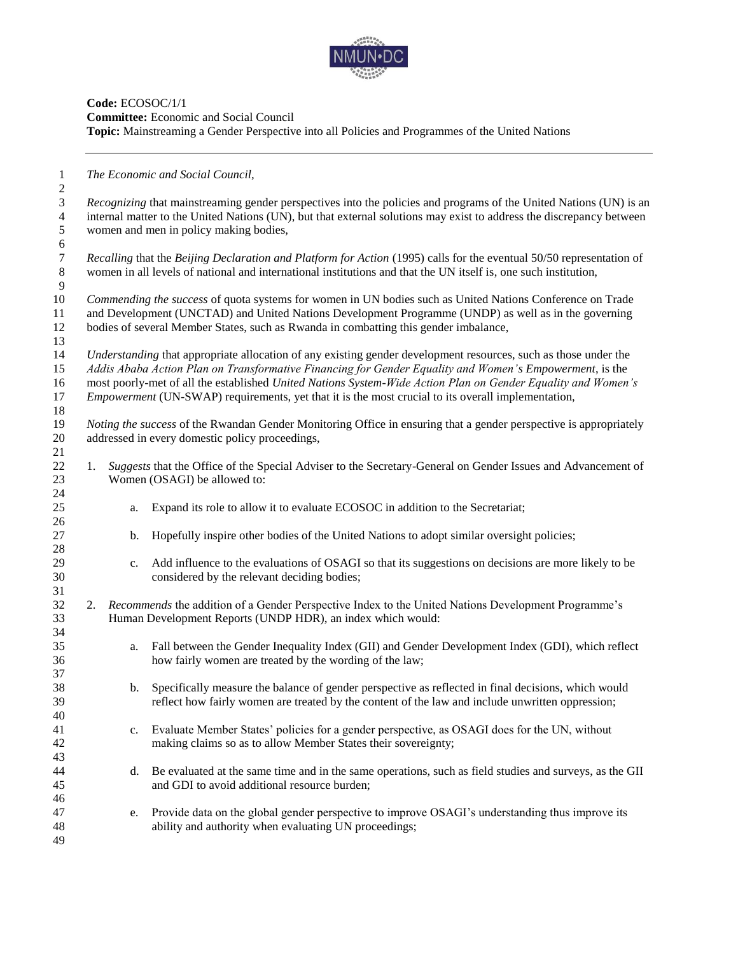

**Code:** ECOSOC/1/1 **Committee:** Economic and Social Council **Topic:** Mainstreaming a Gender Perspective into all Policies and Programmes of the United Nations

*The Economic and Social Council,*

 *Recognizing* that mainstreaming gender perspectives into the policies and programs of the United Nations (UN) is an internal matter to the United Nations (UN), but that external solutions may exist to address the discrepancy between women and men in policy making bodies, *Recalling* that the *Beijing Declaration and Platform for Action* (1995) calls for the eventual 50/50 representation of women in all levels of national and international institutions and that the UN itself is, one such institution, *Commending the success* of quota systems for women in UN bodies such as United Nations Conference on Trade and Development (UNCTAD) and United Nations Development Programme (UNDP) as well as in the governing bodies of several Member States, such as Rwanda in combatting this gender imbalance, *Understanding* that appropriate allocation of any existing gender development resources, such as those under the *Addis Ababa Action Plan on Transformative Financing for Gender Equality and Women's Empowerment*, is the most poorly-met of all the established *United Nations System-Wide Action Plan on Gender Equality and Women's Empowerment* (UN-SWAP) requirements, yet that it is the most crucial to its overall implementation, *Noting the success* of the Rwandan Gender Monitoring Office in ensuring that a gender perspective is appropriately addressed in every domestic policy proceedings, 1. *Suggests* that the Office of the Special Adviser to the Secretary-General on Gender Issues and Advancement of 23 Women (OSAGI) be allowed to: a. Expand its role to allow it to evaluate ECOSOC in addition to the Secretariat; b. Hopefully inspire other bodies of the United Nations to adopt similar oversight policies; c. Add influence to the evaluations of OSAGI so that its suggestions on decisions are more likely to be considered by the relevant deciding bodies; 2. *Recommends* the addition of a Gender Perspective Index to the United Nations Development Programme's Human Development Reports (UNDP HDR), an index which would: a. Fall between the Gender Inequality Index (GII) and Gender Development Index (GDI), which reflect how fairly women are treated by the wording of the law; b. Specifically measure the balance of gender perspective as reflected in final decisions, which would reflect how fairly women are treated by the content of the law and include unwritten oppression; c. Evaluate Member States' policies for a gender perspective, as OSAGI does for the UN, without making claims so as to allow Member States their sovereignty; d. Be evaluated at the same time and in the same operations, such as field studies and surveys, as the GII and GDI to avoid additional resource burden; e. Provide data on the global gender perspective to improve OSAGI's understanding thus improve its ability and authority when evaluating UN proceedings;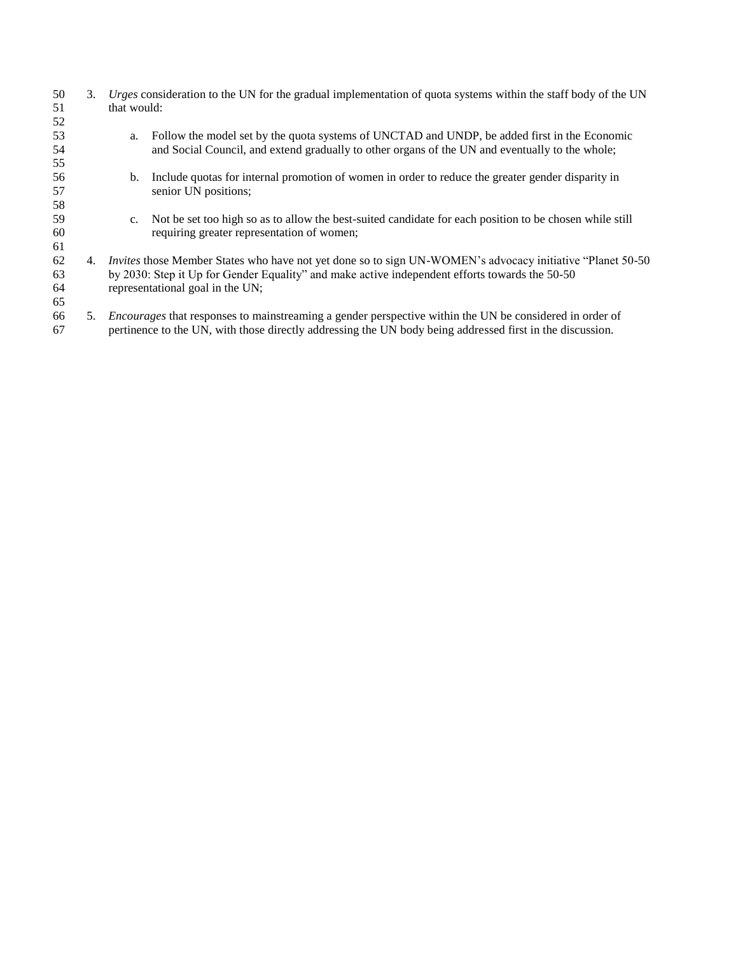| 50<br>51<br>52       | 3. | that would: | Urges consideration to the UN for the gradual implementation of quota systems within the staff body of the UN                                                                                                                                    |
|----------------------|----|-------------|--------------------------------------------------------------------------------------------------------------------------------------------------------------------------------------------------------------------------------------------------|
| 53<br>54<br>55       |    | a.          | Follow the model set by the quota systems of UNCTAD and UNDP, be added first in the Economic<br>and Social Council, and extend gradually to other organs of the UN and eventually to the whole;                                                  |
| 56<br>57<br>58       |    | $b_{1}$     | Include quotas for internal promotion of women in order to reduce the greater gender disparity in<br>senior UN positions;                                                                                                                        |
| 59<br>60<br>61       |    | $c_{\cdot}$ | Not be set too high so as to allow the best-suited candidate for each position to be chosen while still<br>requiring greater representation of women;                                                                                            |
| 62<br>63<br>64<br>65 | 4. |             | Invites those Member States who have not yet done so to sign UN-WOMEN's advocacy initiative "Planet 50-50"<br>by 2030: Step it Up for Gender Equality" and make active independent efforts towards the 50-50<br>representational goal in the UN; |
| 66<br>67             | 5. |             | <i>Encourages</i> that responses to mainstreaming a gender perspective within the UN be considered in order of<br>pertinence to the UN, with those directly addressing the UN body being addressed first in the discussion.                      |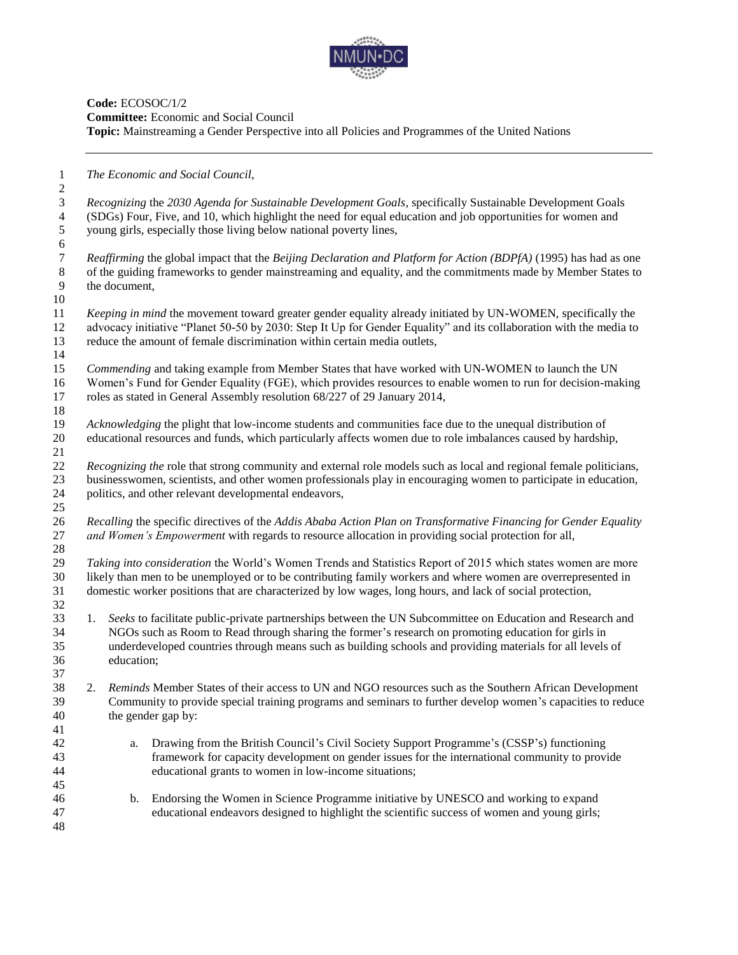

### **Code:** ECOSOC/1/2 **Committee:** Economic and Social Council **Topic:** Mainstreaming a Gender Perspective into all Policies and Programmes of the United Nations

*The Economic and Social Council,*

 *Recognizing* the *2030 Agenda for Sustainable Development Goals*, specifically Sustainable Development Goals (SDGs) Four, Five, and 10, which highlight the need for equal education and job opportunities for women and young girls, especially those living below national poverty lines, 

 *Reaffirming* the global impact that the *Beijing Declaration and Platform for Action (BDPfA)* (1995) has had as one 8 of the guiding frameworks to gender mainstreaming and equality, and the commitments made by Member States to<br>9 the document. the document,

 *Keeping in mind* the movement toward greater gender equality already initiated by UN-WOMEN, specifically the advocacy initiative "Planet 50-50 by 2030: Step It Up for Gender Equality" and its collaboration with the media to reduce the amount of female discrimination within certain media outlets,

 *Commending* and taking example from Member States that have worked with UN-WOMEN to launch the UN Women's Fund for Gender Equality (FGE), which provides resources to enable women to run for decision-making roles as stated in General Assembly resolution 68/227 of 29 January 2014,

- *Acknowledging* the plight that low-income students and communities face due to the unequal distribution of educational resources and funds, which particularly affects women due to role imbalances caused by hardship,
- *Recognizing the* role that strong community and external role models such as local and regional female politicians, businesswomen, scientists, and other women professionals play in encouraging women to participate in education, politics, and other relevant developmental endeavors,
- *Recalling* the specific directives of the *Addis Ababa Action Plan on Transformative Financing for Gender Equality and Women's Empowerment* with regards to resource allocation in providing social protection for all,

 *Taking into consideration* the World's Women Trends and Statistics Report of 2015 which states women are more likely than men to be unemployed or to be contributing family workers and where women are overrepresented in domestic worker positions that are characterized by low wages, long hours, and lack of social protection,

- 1. *Seeks* to facilitate public-private partnerships between the UN Subcommittee on Education and Research and NGOs such as Room to Read through sharing the former's research on promoting education for girls in underdeveloped countries through means such as building schools and providing materials for all levels of education;
- 2. *Reminds* Member States of their access to UN and NGO resources such as the Southern African Development Community to provide special training programs and seminars to further develop women's capacities to reduce the gender gap by:
- a. Drawing from the British Council's Civil Society Support Programme's (CSSP's) functioning framework for capacity development on gender issues for the international community to provide educational grants to women in low-income situations;
- b. Endorsing the Women in Science Programme initiative by UNESCO and working to expand educational endeavors designed to highlight the scientific success of women and young girls;
-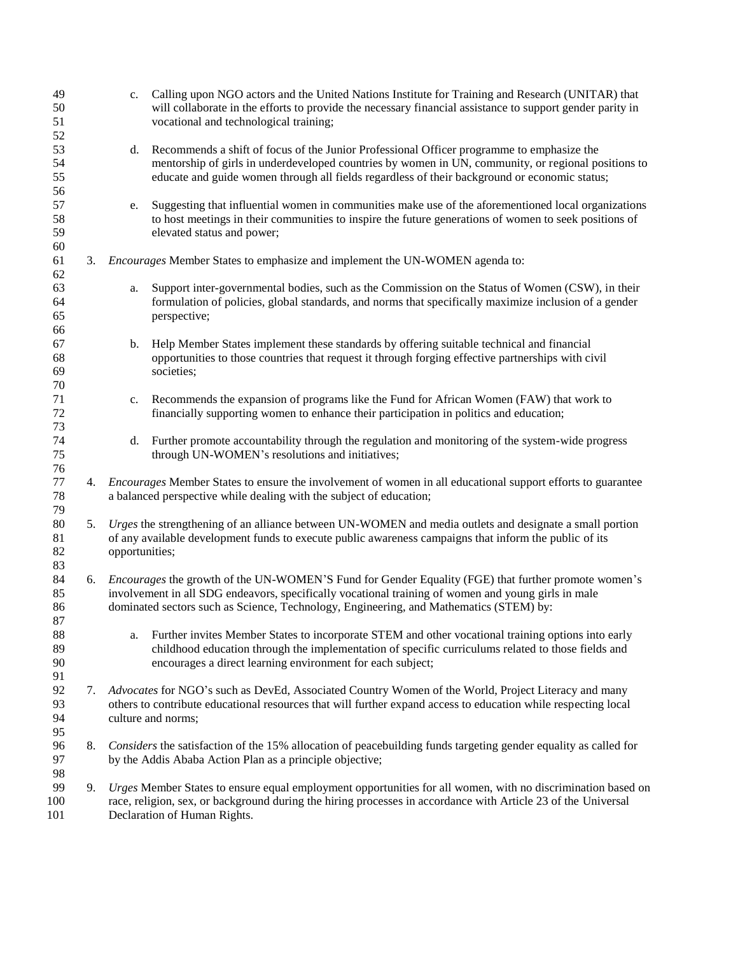| 49<br>50<br>51             |    | c. Calling upon NGO actors and the United Nations Institute for Training and Research (UNITAR) that<br>will collaborate in the efforts to provide the necessary financial assistance to support gender parity in<br>vocational and technological training;                                                  |
|----------------------------|----|-------------------------------------------------------------------------------------------------------------------------------------------------------------------------------------------------------------------------------------------------------------------------------------------------------------|
| 52<br>53<br>54<br>55<br>56 |    | Recommends a shift of focus of the Junior Professional Officer programme to emphasize the<br>d.<br>mentorship of girls in underdeveloped countries by women in UN, community, or regional positions to<br>educate and guide women through all fields regardless of their background or economic status;     |
| 57<br>58<br>59<br>60       |    | Suggesting that influential women in communities make use of the aforementioned local organizations<br>e.<br>to host meetings in their communities to inspire the future generations of women to seek positions of<br>elevated status and power;                                                            |
| 61<br>62                   | 3. | <i>Encourages</i> Member States to emphasize and implement the UN-WOMEN agenda to:                                                                                                                                                                                                                          |
| 63<br>64<br>65<br>66       |    | Support inter-governmental bodies, such as the Commission on the Status of Women (CSW), in their<br>a.<br>formulation of policies, global standards, and norms that specifically maximize inclusion of a gender<br>perspective;                                                                             |
| 67<br>68<br>69<br>70       |    | Help Member States implement these standards by offering suitable technical and financial<br>b.<br>opportunities to those countries that request it through forging effective partnerships with civil<br>societies;                                                                                         |
| 71<br>$72\,$               |    | Recommends the expansion of programs like the Fund for African Women (FAW) that work to<br>c.<br>financially supporting women to enhance their participation in politics and education;                                                                                                                     |
| 73<br>74<br>75<br>76       |    | Further promote accountability through the regulation and monitoring of the system-wide progress<br>d.<br>through UN-WOMEN's resolutions and initiatives;                                                                                                                                                   |
| 77<br>78<br>79             | 4. | <i>Encourages</i> Member States to ensure the involvement of women in all educational support efforts to guarantee<br>a balanced perspective while dealing with the subject of education;                                                                                                                   |
| 80<br>81<br>82<br>83       | 5. | Urges the strengthening of an alliance between UN-WOMEN and media outlets and designate a small portion<br>of any available development funds to execute public awareness campaigns that inform the public of its<br>opportunities;                                                                         |
| 84<br>85<br>86<br>87       | 6. | <i>Encourages</i> the growth of the UN-WOMEN'S Fund for Gender Equality (FGE) that further promote women's<br>involvement in all SDG endeavors, specifically vocational training of women and young girls in male<br>dominated sectors such as Science, Technology, Engineering, and Mathematics (STEM) by: |
| 88<br>89<br>90<br>91       |    | Further invites Member States to incorporate STEM and other vocational training options into early<br>a.<br>childhood education through the implementation of specific curriculums related to those fields and<br>encourages a direct learning environment for each subject;                                |
| 92<br>93<br>94<br>95       | 7. | Advocates for NGO's such as DevEd, Associated Country Women of the World, Project Literacy and many<br>others to contribute educational resources that will further expand access to education while respecting local<br>culture and norms;                                                                 |
| 96<br>97<br>98             | 8. | Considers the satisfaction of the 15% allocation of peacebuilding funds targeting gender equality as called for<br>by the Addis Ababa Action Plan as a principle objective;                                                                                                                                 |
| 99<br>100<br>101           | 9. | Urges Member States to ensure equal employment opportunities for all women, with no discrimination based on<br>race, religion, sex, or background during the hiring processes in accordance with Article 23 of the Universal<br>Declaration of Human Rights.                                                |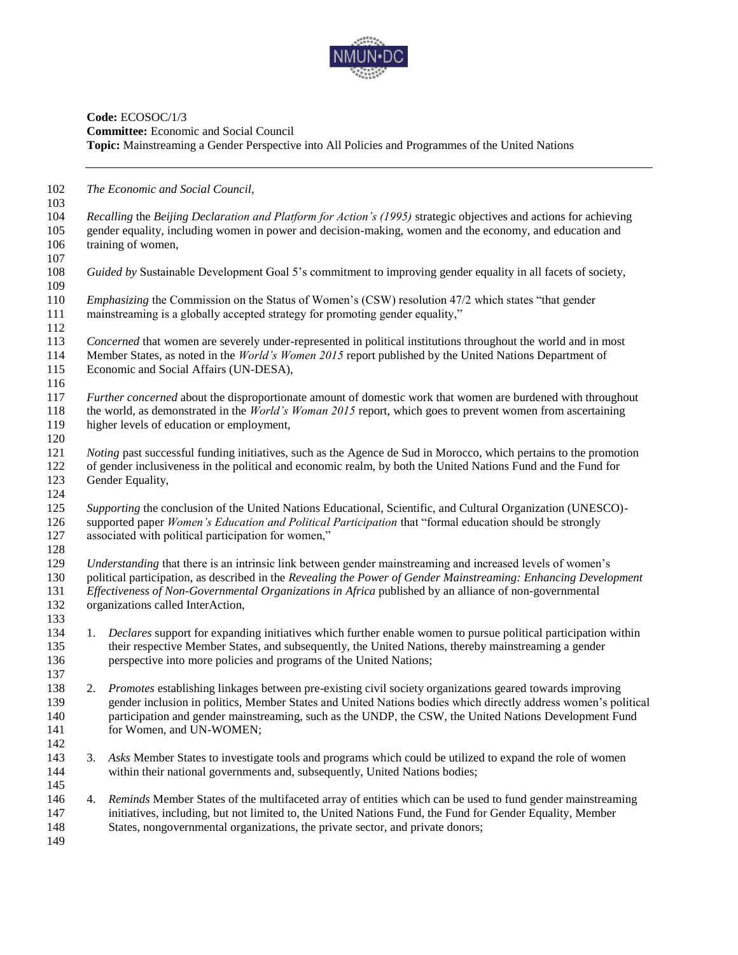

## **Code:** ECOSOC/1/3 **Committee:** Economic and Social Council **Topic:** Mainstreaming a Gender Perspective into All Policies and Programmes of the United Nations

| 102        |    | The Economic and Social Council,                                                                                         |
|------------|----|--------------------------------------------------------------------------------------------------------------------------|
| 103        |    |                                                                                                                          |
| 104        |    | Recalling the Beijing Declaration and Platform for Action's (1995) strategic objectives and actions for achieving        |
| 105        |    | gender equality, including women in power and decision-making, women and the economy, and education and                  |
| 106        |    | training of women,                                                                                                       |
| 107        |    |                                                                                                                          |
| 108        |    | Guided by Sustainable Development Goal 5's commitment to improving gender equality in all facets of society,             |
| 109        |    |                                                                                                                          |
| 110        |    | <i>Emphasizing</i> the Commission on the Status of Women's (CSW) resolution 47/2 which states "that gender               |
| 111        |    | mainstreaming is a globally accepted strategy for promoting gender equality,"                                            |
| 112        |    |                                                                                                                          |
| 113        |    | Concerned that women are severely under-represented in political institutions throughout the world and in most           |
| 114        |    | Member States, as noted in the <i>World's Women 2015</i> report published by the United Nations Department of            |
| 115        |    |                                                                                                                          |
|            |    | Economic and Social Affairs (UN-DESA),                                                                                   |
| 116        |    |                                                                                                                          |
| 117        |    | Further concerned about the disproportionate amount of domestic work that women are burdened with throughout             |
| 118        |    | the world, as demonstrated in the <i>World's Woman 2015</i> report, which goes to prevent women from ascertaining        |
| 119        |    | higher levels of education or employment,                                                                                |
| 120        |    |                                                                                                                          |
| 121        |    | <i>Noting</i> past successful funding initiatives, such as the Agence de Sud in Morocco, which pertains to the promotion |
| 122        |    | of gender inclusiveness in the political and economic realm, by both the United Nations Fund and the Fund for            |
| 123        |    | Gender Equality,                                                                                                         |
| 124        |    |                                                                                                                          |
| 125        |    | Supporting the conclusion of the United Nations Educational, Scientific, and Cultural Organization (UNESCO)-             |
| 126        |    | supported paper Women's Education and Political Participation that "formal education should be strongly                  |
| 127        |    | associated with political participation for women,"                                                                      |
| 128        |    |                                                                                                                          |
| 129        |    | Understanding that there is an intrinsic link between gender mainstreaming and increased levels of women's               |
| 130        |    | political participation, as described in the Revealing the Power of Gender Mainstreaming: Enhancing Development          |
| 131        |    | Effectiveness of Non-Governmental Organizations in Africa published by an alliance of non-governmental                   |
| 132        |    | organizations called InterAction,                                                                                        |
| 133        |    |                                                                                                                          |
|            |    |                                                                                                                          |
| 134        |    | 1. Declares support for expanding initiatives which further enable women to pursue political participation within        |
| 135        |    | their respective Member States, and subsequently, the United Nations, thereby mainstreaming a gender                     |
| 136        |    | perspective into more policies and programs of the United Nations;                                                       |
| 137<br>138 |    | 2. Promotes establishing linkages between pre-existing civil society organizations geared towards improving              |
|            |    |                                                                                                                          |
| 139        |    | gender inclusion in politics, Member States and United Nations bodies which directly address women's political           |
| 140        |    | participation and gender mainstreaming, such as the UNDP, the CSW, the United Nations Development Fund                   |
| 141        |    | for Women, and UN-WOMEN;                                                                                                 |
| 142        |    |                                                                                                                          |
| 143        | 3. | Asks Member States to investigate tools and programs which could be utilized to expand the role of women                 |
| 144        |    | within their national governments and, subsequently, United Nations bodies;                                              |
| 145        |    |                                                                                                                          |
| 146        | 4. | Reminds Member States of the multifaceted array of entities which can be used to fund gender mainstreaming               |
| 147        |    | initiatives, including, but not limited to, the United Nations Fund, the Fund for Gender Equality, Member                |
| 148        |    | States, nongovernmental organizations, the private sector, and private donors;                                           |
| 149        |    |                                                                                                                          |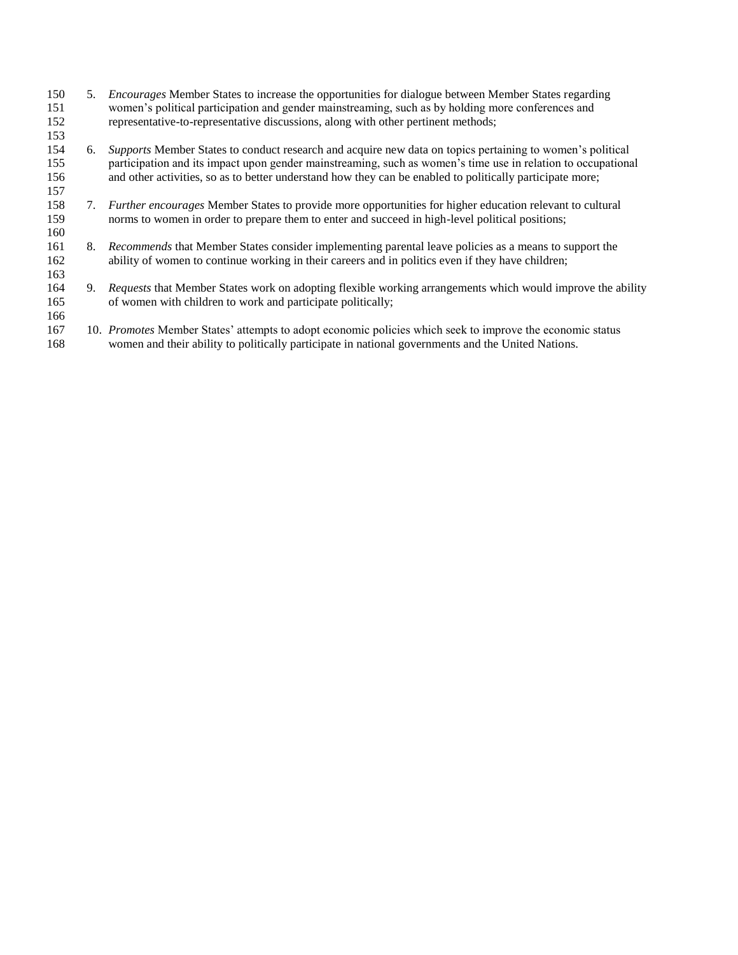- 5. *Encourages* Member States to increase the opportunities for dialogue between Member States regarding women's political participation and gender mainstreaming, such as by holding more conferences and representative-to-representative discussions, along with other pertinent methods;
- 6. *Supports* Member States to conduct research and acquire new data on topics pertaining to women's political participation and its impact upon gender mainstreaming, such as women's time use in relation to occupational and other activities, so as to better understand how they can be enabled to politically participate more;
- 7. *Further encourages* Member States to provide more opportunities for higher education relevant to cultural norms to women in order to prepare them to enter and succeed in high-level political positions;

- 8. *Recommends* that Member States consider implementing parental leave policies as a means to support the ability of women to continue working in their careers and in politics even if they have children;
- 9. *Requests* that Member States work on adopting flexible working arrangements which would improve the ability of women with children to work and participate politically;
- 10. *Promotes* Member States' attempts to adopt economic policies which seek to improve the economic status women and their ability to politically participate in national governments and the United Nations.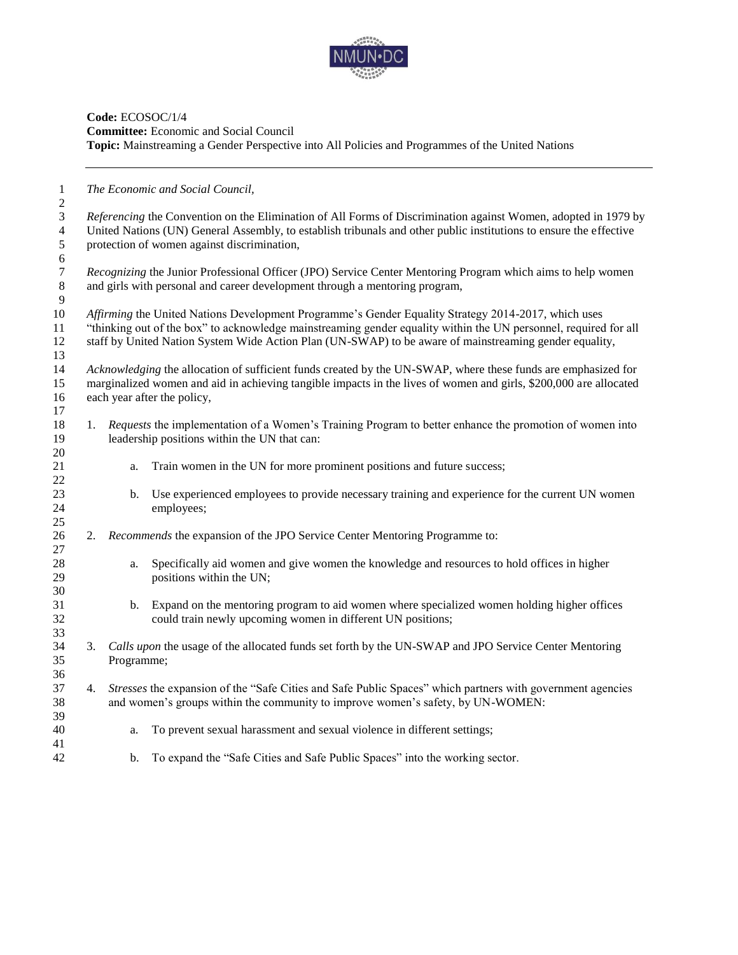

## **Code:** ECOSOC/1/4 **Committee:** Economic and Social Council **Topic:** Mainstreaming a Gender Perspective into All Policies and Programmes of the United Nations

| 1<br>$\overline{c}$                             |    |            | The Economic and Social Council,                                                                                                                                                                                                                                                                                                  |
|-------------------------------------------------|----|------------|-----------------------------------------------------------------------------------------------------------------------------------------------------------------------------------------------------------------------------------------------------------------------------------------------------------------------------------|
| 3<br>$\overline{4}$<br>$\sqrt{5}$<br>$\sqrt{6}$ |    |            | Referencing the Convention on the Elimination of All Forms of Discrimination against Women, adopted in 1979 by<br>United Nations (UN) General Assembly, to establish tribunals and other public institutions to ensure the effective<br>protection of women against discrimination,                                               |
| $\boldsymbol{7}$<br>$\,8\,$<br>9                |    |            | Recognizing the Junior Professional Officer (JPO) Service Center Mentoring Program which aims to help women<br>and girls with personal and career development through a mentoring program,                                                                                                                                        |
| 10<br>11<br>12<br>13                            |    |            | Affirming the United Nations Development Programme's Gender Equality Strategy 2014-2017, which uses<br>"thinking out of the box" to acknowledge mainstreaming gender equality within the UN personnel, required for all<br>staff by United Nation System Wide Action Plan (UN-SWAP) to be aware of mainstreaming gender equality, |
| 14<br>15<br>16<br>17                            |    |            | Acknowledging the allocation of sufficient funds created by the UN-SWAP, where these funds are emphasized for<br>marginalized women and aid in achieving tangible impacts in the lives of women and girls, \$200,000 are allocated<br>each year after the policy,                                                                 |
| 18<br>19<br>20                                  | 1. |            | Requests the implementation of a Women's Training Program to better enhance the promotion of women into<br>leadership positions within the UN that can:                                                                                                                                                                           |
| 21<br>22                                        |    | a.         | Train women in the UN for more prominent positions and future success;                                                                                                                                                                                                                                                            |
| 23<br>24<br>25                                  |    | b.         | Use experienced employees to provide necessary training and experience for the current UN women<br>employees;                                                                                                                                                                                                                     |
| 26<br>27                                        |    |            | 2. Recommends the expansion of the JPO Service Center Mentoring Programme to:                                                                                                                                                                                                                                                     |
| 28<br>29<br>30                                  |    | a.         | Specifically aid women and give women the knowledge and resources to hold offices in higher<br>positions within the UN;                                                                                                                                                                                                           |
| 31<br>32<br>33                                  |    | b.         | Expand on the mentoring program to aid women where specialized women holding higher offices<br>could train newly upcoming women in different UN positions;                                                                                                                                                                        |
| 34<br>35<br>36                                  | 3. | Programme; | Calls upon the usage of the allocated funds set forth by the UN-SWAP and JPO Service Center Mentoring                                                                                                                                                                                                                             |
| 37<br>38<br>39                                  | 4. |            | Stresses the expansion of the "Safe Cities and Safe Public Spaces" which partners with government agencies<br>and women's groups within the community to improve women's safety, by UN-WOMEN:                                                                                                                                     |
| 40<br>41                                        |    | a.         | To prevent sexual harassment and sexual violence in different settings;                                                                                                                                                                                                                                                           |
| 42                                              |    | b.         | To expand the "Safe Cities and Safe Public Spaces" into the working sector.                                                                                                                                                                                                                                                       |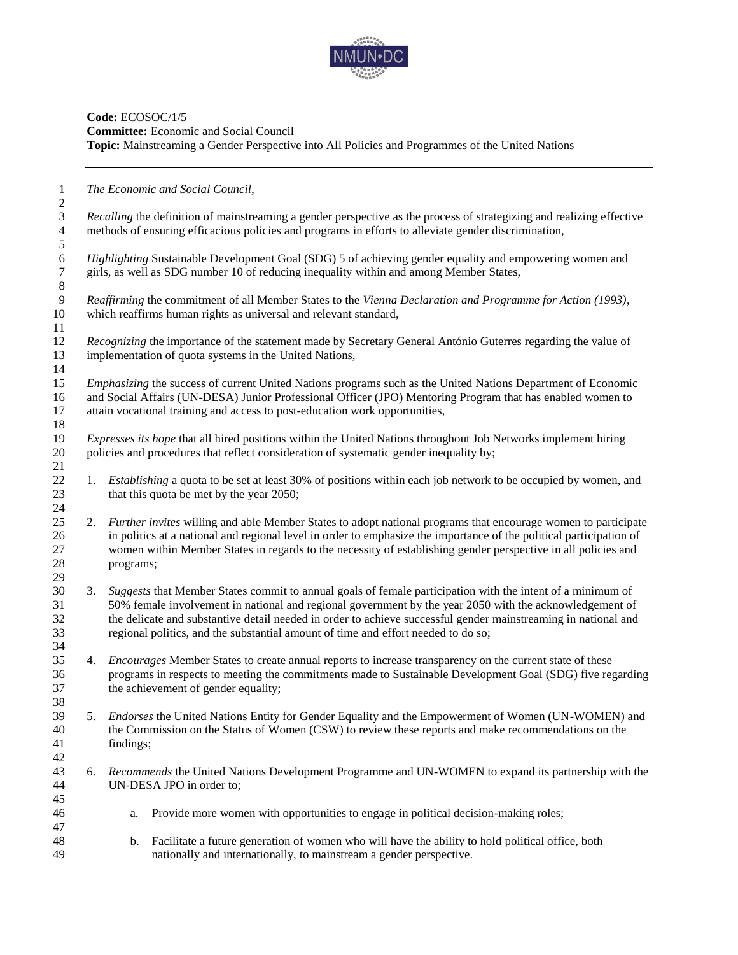

## **Code:** ECOSOC/1/5 **Committee:** Economic and Social Council **Topic:** Mainstreaming a Gender Perspective into All Policies and Programmes of the United Nations

| $\mathbf{1}$                 |    |           | The Economic and Social Council,                                                                                      |
|------------------------------|----|-----------|-----------------------------------------------------------------------------------------------------------------------|
| $\overline{c}$<br>3          |    |           | Recalling the definition of mainstreaming a gender perspective as the process of strategizing and realizing effective |
|                              |    |           | methods of ensuring efficacious policies and programs in efforts to alleviate gender discrimination,                  |
| $\overline{4}$<br>$\sqrt{5}$ |    |           |                                                                                                                       |
| $\sqrt{6}$                   |    |           | Highlighting Sustainable Development Goal (SDG) 5 of achieving gender equality and empowering women and               |
| $\tau$                       |    |           | girls, as well as SDG number 10 of reducing inequality within and among Member States,                                |
| $\,8\,$                      |    |           |                                                                                                                       |
| $\overline{9}$               |    |           | Reaffirming the commitment of all Member States to the Vienna Declaration and Programme for Action (1993),            |
| 10                           |    |           | which reaffirms human rights as universal and relevant standard,                                                      |
| 11                           |    |           |                                                                                                                       |
| 12                           |    |           | Recognizing the importance of the statement made by Secretary General António Guterres regarding the value of         |
| 13                           |    |           | implementation of quota systems in the United Nations,                                                                |
| 14                           |    |           |                                                                                                                       |
| 15                           |    |           | Emphasizing the success of current United Nations programs such as the United Nations Department of Economic          |
| 16                           |    |           | and Social Affairs (UN-DESA) Junior Professional Officer (JPO) Mentoring Program that has enabled women to            |
| 17                           |    |           | attain vocational training and access to post-education work opportunities,                                           |
| 18                           |    |           |                                                                                                                       |
| 19                           |    |           | Expresses its hope that all hired positions within the United Nations throughout Job Networks implement hiring        |
| 20                           |    |           | policies and procedures that reflect consideration of systematic gender inequality by;                                |
| 21                           |    |           |                                                                                                                       |
| 22                           | 1. |           | Establishing a quota to be set at least 30% of positions within each job network to be occupied by women, and         |
| 23                           |    |           | that this quota be met by the year 2050;                                                                              |
| 24                           |    |           |                                                                                                                       |
| 25                           | 2. |           | Further invites willing and able Member States to adopt national programs that encourage women to participate         |
| 26                           |    |           | in politics at a national and regional level in order to emphasize the importance of the political participation of   |
| 27                           |    |           | women within Member States in regards to the necessity of establishing gender perspective in all policies and         |
| 28                           |    | programs; |                                                                                                                       |
| 29                           |    |           |                                                                                                                       |
| 30                           | 3. |           | Suggests that Member States commit to annual goals of female participation with the intent of a minimum of            |
| 31                           |    |           | 50% female involvement in national and regional government by the year 2050 with the acknowledgement of               |
| 32                           |    |           | the delicate and substantive detail needed in order to achieve successful gender mainstreaming in national and        |
| 33                           |    |           | regional politics, and the substantial amount of time and effort needed to do so;                                     |
| 34                           |    |           |                                                                                                                       |
| 35                           | 4. |           | Encourages Member States to create annual reports to increase transparency on the current state of these              |
| 36                           |    |           | programs in respects to meeting the commitments made to Sustainable Development Goal (SDG) five regarding             |
| 37                           |    |           | the achievement of gender equality;                                                                                   |
| 38                           |    |           |                                                                                                                       |
| 39                           | 5. |           | <i>Endorses</i> the United Nations Entity for Gender Equality and the Empowerment of Women (UN-WOMEN) and             |
| 40                           |    |           | the Commission on the Status of Women (CSW) to review these reports and make recommendations on the                   |
| 41                           |    | findings; |                                                                                                                       |
| 42                           |    |           |                                                                                                                       |
| 43                           | 6. |           | Recommends the United Nations Development Programme and UN-WOMEN to expand its partnership with the                   |
| 44                           |    |           | UN-DESA JPO in order to;                                                                                              |
| 45                           |    |           |                                                                                                                       |
| 46                           |    | a.        | Provide more women with opportunities to engage in political decision-making roles;                                   |
| 47<br>48                     |    |           | Facilitate a future generation of women who will have the ability to hold political office, both                      |
| 49                           |    | b.        | nationally and internationally, to mainstream a gender perspective.                                                   |
|                              |    |           |                                                                                                                       |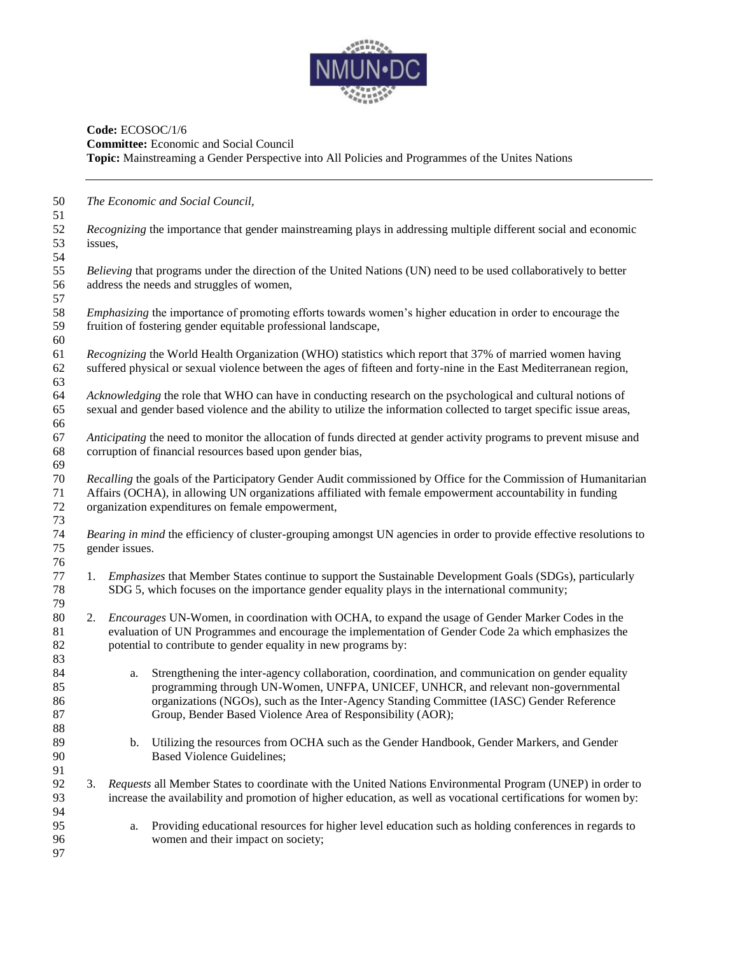

# **Code:** ECOSOC/1/6 **Committee:** Economic and Social Council **Topic:** Mainstreaming a Gender Perspective into All Policies and Programmes of the Unites Nations

| 50<br>51                   |         |                | The Economic and Social Council,                                                                                                                                                                                                                                                                                                                 |
|----------------------------|---------|----------------|--------------------------------------------------------------------------------------------------------------------------------------------------------------------------------------------------------------------------------------------------------------------------------------------------------------------------------------------------|
| 52<br>53<br>54             | issues, |                | <i>Recognizing</i> the importance that gender mainstreaming plays in addressing multiple different social and economic                                                                                                                                                                                                                           |
| 55<br>56<br>57             |         |                | Believing that programs under the direction of the United Nations (UN) need to be used collaboratively to better<br>address the needs and struggles of women,                                                                                                                                                                                    |
| 58<br>59<br>60             |         |                | <i>Emphasizing</i> the importance of promoting efforts towards women's higher education in order to encourage the<br>fruition of fostering gender equitable professional landscape,                                                                                                                                                              |
| 61<br>62<br>63             |         |                | Recognizing the World Health Organization (WHO) statistics which report that 37% of married women having<br>suffered physical or sexual violence between the ages of fifteen and forty-nine in the East Mediterranean region,                                                                                                                    |
| 64<br>65<br>66             |         |                | Acknowledging the role that WHO can have in conducting research on the psychological and cultural notions of<br>sexual and gender based violence and the ability to utilize the information collected to target specific issue areas,                                                                                                            |
| 67<br>68<br>69             |         |                | Anticipating the need to monitor the allocation of funds directed at gender activity programs to prevent misuse and<br>corruption of financial resources based upon gender bias,                                                                                                                                                                 |
| 70<br>71<br>72<br>73       |         |                | Recalling the goals of the Participatory Gender Audit commissioned by Office for the Commission of Humanitarian<br>Affairs (OCHA), in allowing UN organizations affiliated with female empowerment accountability in funding<br>organization expenditures on female empowerment,                                                                 |
| 74<br>75<br>76             |         | gender issues. | Bearing in mind the efficiency of cluster-grouping amongst UN agencies in order to provide effective resolutions to                                                                                                                                                                                                                              |
| 77<br>78<br>79             | 1.      |                | Emphasizes that Member States continue to support the Sustainable Development Goals (SDGs), particularly<br>SDG 5, which focuses on the importance gender equality plays in the international community;                                                                                                                                         |
| 80<br>81<br>82<br>83       | 2.      |                | Encourages UN-Women, in coordination with OCHA, to expand the usage of Gender Marker Codes in the<br>evaluation of UN Programmes and encourage the implementation of Gender Code 2a which emphasizes the<br>potential to contribute to gender equality in new programs by:                                                                       |
| 84<br>85<br>86<br>87<br>88 |         | a.             | Strengthening the inter-agency collaboration, coordination, and communication on gender equality<br>programming through UN-Women, UNFPA, UNICEF, UNHCR, and relevant non-governmental<br>organizations (NGOs), such as the Inter-Agency Standing Committee (IASC) Gender Reference<br>Group, Bender Based Violence Area of Responsibility (AOR); |
| 89<br>90<br>91             |         | b.             | Utilizing the resources from OCHA such as the Gender Handbook, Gender Markers, and Gender<br><b>Based Violence Guidelines;</b>                                                                                                                                                                                                                   |
| 92<br>93<br>94             | 3.      |                | Requests all Member States to coordinate with the United Nations Environmental Program (UNEP) in order to<br>increase the availability and promotion of higher education, as well as vocational certifications for women by:                                                                                                                     |
| 95<br>96<br>97             |         | a.             | Providing educational resources for higher level education such as holding conferences in regards to<br>women and their impact on society;                                                                                                                                                                                                       |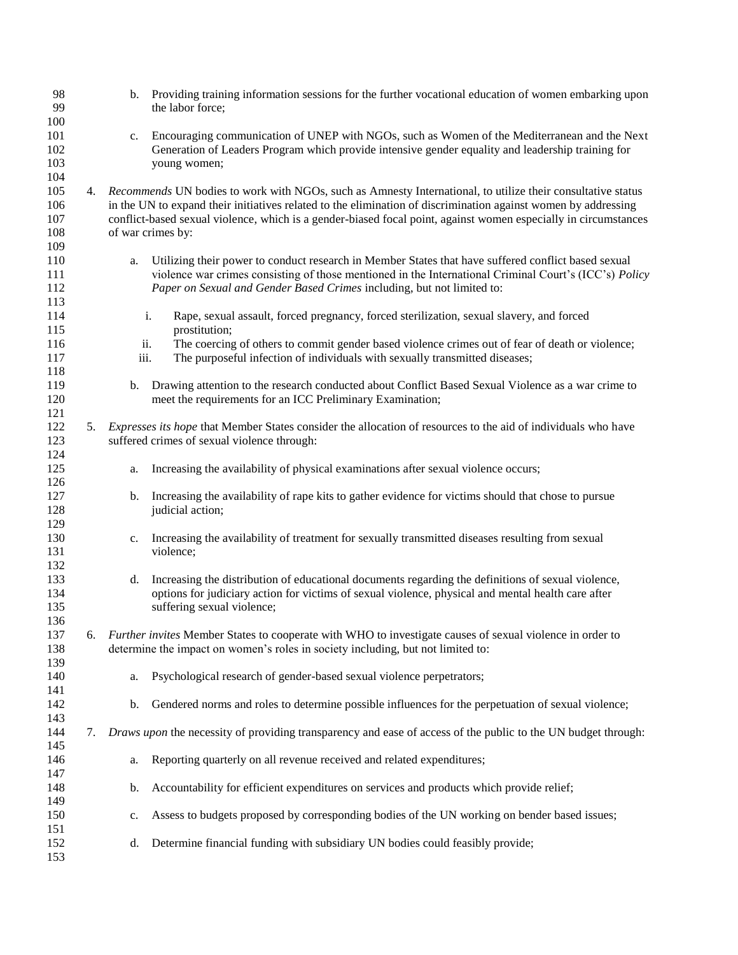| 98<br>99                        |    |             | b. Providing training information sessions for the further vocational education of women embarking upon<br>the labor force;                                                                                                                                                                                                                                           |
|---------------------------------|----|-------------|-----------------------------------------------------------------------------------------------------------------------------------------------------------------------------------------------------------------------------------------------------------------------------------------------------------------------------------------------------------------------|
| 100<br>101<br>102<br>103<br>104 |    | c.          | Encouraging communication of UNEP with NGOs, such as Women of the Mediterranean and the Next<br>Generation of Leaders Program which provide intensive gender equality and leadership training for<br>young women;                                                                                                                                                     |
| 105<br>106<br>107<br>108<br>109 | 4. |             | Recommends UN bodies to work with NGOs, such as Amnesty International, to utilize their consultative status<br>in the UN to expand their initiatives related to the elimination of discrimination against women by addressing<br>conflict-based sexual violence, which is a gender-biased focal point, against women especially in circumstances<br>of war crimes by: |
| 110<br>111<br>112<br>113        |    | a.          | Utilizing their power to conduct research in Member States that have suffered conflict based sexual<br>violence war crimes consisting of those mentioned in the International Criminal Court's (ICC's) Policy<br>Paper on Sexual and Gender Based Crimes including, but not limited to:                                                                               |
| 114<br>115                      |    |             | i.<br>Rape, sexual assault, forced pregnancy, forced sterilization, sexual slavery, and forced<br>prostitution;                                                                                                                                                                                                                                                       |
| 116<br>117                      |    | ii.<br>iii. | The coercing of others to commit gender based violence crimes out of fear of death or violence;<br>The purposeful infection of individuals with sexually transmitted diseases;                                                                                                                                                                                        |
| 118<br>119<br>120<br>121        |    | b.          | Drawing attention to the research conducted about Conflict Based Sexual Violence as a war crime to<br>meet the requirements for an ICC Preliminary Examination;                                                                                                                                                                                                       |
| 122<br>123<br>124               | 5. |             | Expresses its hope that Member States consider the allocation of resources to the aid of individuals who have<br>suffered crimes of sexual violence through:                                                                                                                                                                                                          |
| 125<br>126                      |    | a.          | Increasing the availability of physical examinations after sexual violence occurs;                                                                                                                                                                                                                                                                                    |
| 127<br>128<br>129               |    | b.          | Increasing the availability of rape kits to gather evidence for victims should that chose to pursue<br>judicial action;                                                                                                                                                                                                                                               |
| 130<br>131                      |    | c.          | Increasing the availability of treatment for sexually transmitted diseases resulting from sexual<br>violence;                                                                                                                                                                                                                                                         |
| 132<br>133<br>134<br>135<br>136 |    | d.          | Increasing the distribution of educational documents regarding the definitions of sexual violence,<br>options for judiciary action for victims of sexual violence, physical and mental health care after<br>suffering sexual violence;                                                                                                                                |
| 137<br>138                      | 6. |             | Further invites Member States to cooperate with WHO to investigate causes of sexual violence in order to<br>determine the impact on women's roles in society including, but not limited to:                                                                                                                                                                           |
| 139<br>140<br>141               |    | a.          | Psychological research of gender-based sexual violence perpetrators;                                                                                                                                                                                                                                                                                                  |
| 142<br>143                      |    | b.          | Gendered norms and roles to determine possible influences for the perpetuation of sexual violence;                                                                                                                                                                                                                                                                    |
| 144<br>145                      | 7. |             | Draws upon the necessity of providing transparency and ease of access of the public to the UN budget through:                                                                                                                                                                                                                                                         |
| 146<br>147                      |    | a.          | Reporting quarterly on all revenue received and related expenditures;                                                                                                                                                                                                                                                                                                 |
| 148<br>149                      |    | b.          | Accountability for efficient expenditures on services and products which provide relief;                                                                                                                                                                                                                                                                              |
| 150<br>151                      |    | c.          | Assess to budgets proposed by corresponding bodies of the UN working on bender based issues;                                                                                                                                                                                                                                                                          |
| 152<br>153                      |    | d.          | Determine financial funding with subsidiary UN bodies could feasibly provide;                                                                                                                                                                                                                                                                                         |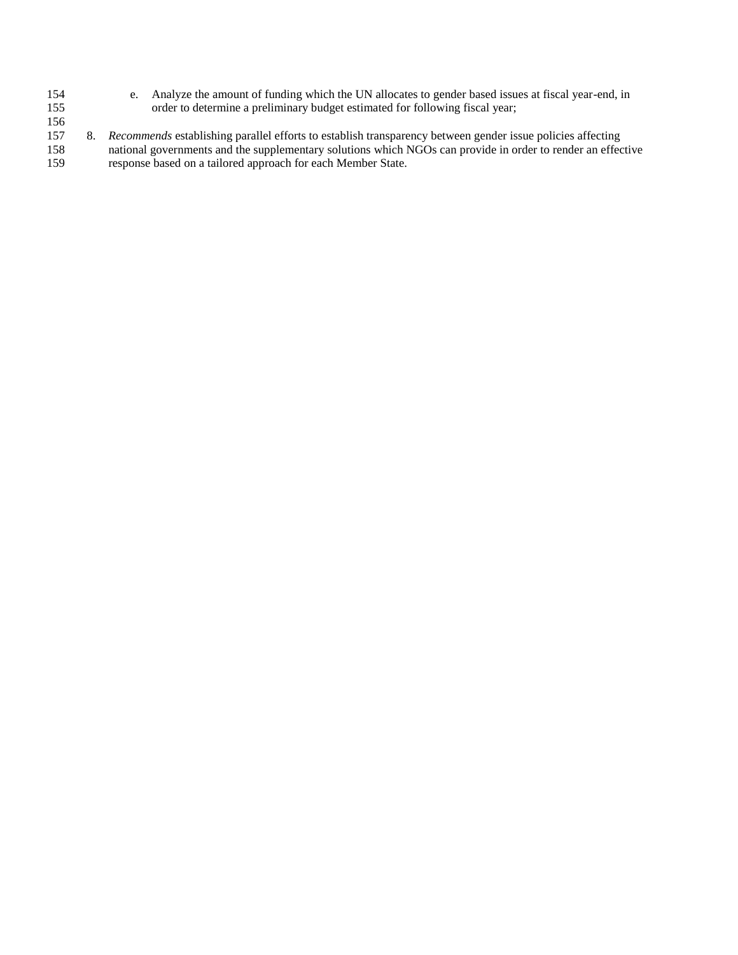- 154 e. Analyze the amount of funding which the UN allocates to gender based issues at fiscal year-end, in order to determine a preliminary budget estimated for following fiscal year; order to determine a preliminary budget estimated for following fiscal year;
- 156<br>157
- 157 8. *Recommends* establishing parallel efforts to establish transparency between gender issue policies affecting 158 national governments and the supplementary solutions which NGOs can provide in order to render an effective
- 159 response based on a tailored approach for each Member State.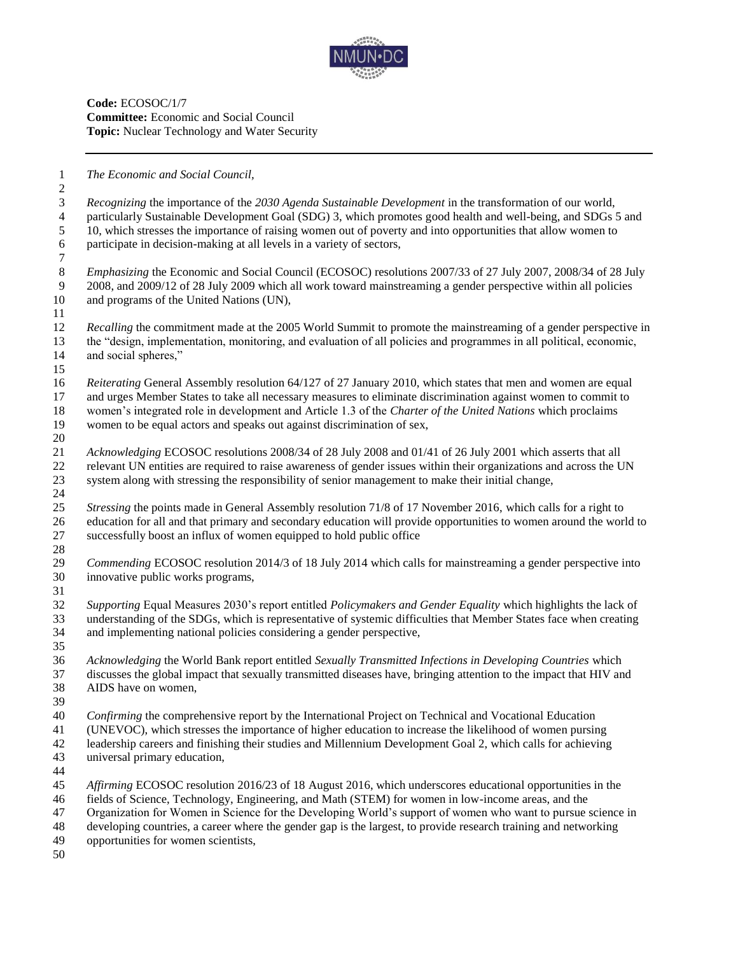

**Code:** ECOSOC/1/7 **Committee:** Economic and Social Council **Topic:** Nuclear Technology and Water Security

*The Economic and Social Council,* 

 *Recognizing* the importance of the *2030 Agenda Sustainable Development* in the transformation of our world, particularly Sustainable Development Goal (SDG) 3, which promotes good health and well-being, and SDGs 5 and 10, which stresses the importance of raising women out of poverty and into opportunities that allow women to participate in decision-making at all levels in a variety of sectors, *Emphasizing* the Economic and Social Council (ECOSOC) resolutions 2007/33 of 27 July 2007, 2008/34 of 28 July 2008, and 2009/12 of 28 July 2009 which all work toward mainstreaming a gender perspective within all policies and programs of the United Nations (UN), *Recalling* the commitment made at the 2005 World Summit to promote the mainstreaming of a gender perspective in the "design, implementation, monitoring, and evaluation of all policies and programmes in all political, economic, and social spheres," *Reiterating* General Assembly resolution 64/127 of 27 January 2010, which states that men and women are equal and urges Member States to take all necessary measures to eliminate discrimination against women to commit to women's integrated role in development and Article 1.3 of the *Charter of the United Nations* which proclaims women to be equal actors and speaks out against discrimination of sex, *Acknowledging* ECOSOC resolutions 2008/34 of 28 July 2008 and 01/41 of 26 July 2001 which asserts that all relevant UN entities are required to raise awareness of gender issues within their organizations and across the UN system along with stressing the responsibility of senior management to make their initial change, *Stressing* the points made in General Assembly resolution 71/8 of 17 November 2016, which calls for a right to education for all and that primary and secondary education will provide opportunities to women around the world to successfully boost an influx of women equipped to hold public office *Commending* ECOSOC resolution 2014/3 of 18 July 2014 which calls for mainstreaming a gender perspective into innovative public works programs, *Supporting* Equal Measures 2030's report entitled *Policymakers and Gender Equality* which highlights the lack of understanding of the SDGs, which is representative of systemic difficulties that Member States face when creating and implementing national policies considering a gender perspective, *Acknowledging* the World Bank report entitled *Sexually Transmitted Infections in Developing Countries* which discusses the global impact that sexually transmitted diseases have, bringing attention to the impact that HIV and AIDS have on women, *Confirming* the comprehensive report by the International Project on Technical and Vocational Education (UNEVOC), which stresses the importance of higher education to increase the likelihood of women pursing leadership careers and finishing their studies and Millennium Development Goal 2, which calls for achieving universal primary education, *Affirming* ECOSOC resolution 2016/23 of 18 August 2016, which underscores educational opportunities in the fields of Science, Technology, Engineering, and Math (STEM) for women in low-income areas, and the Organization for Women in Science for the Developing World's support of women who want to pursue science in developing countries, a career where the gender gap is the largest, to provide research training and networking opportunities for women scientists,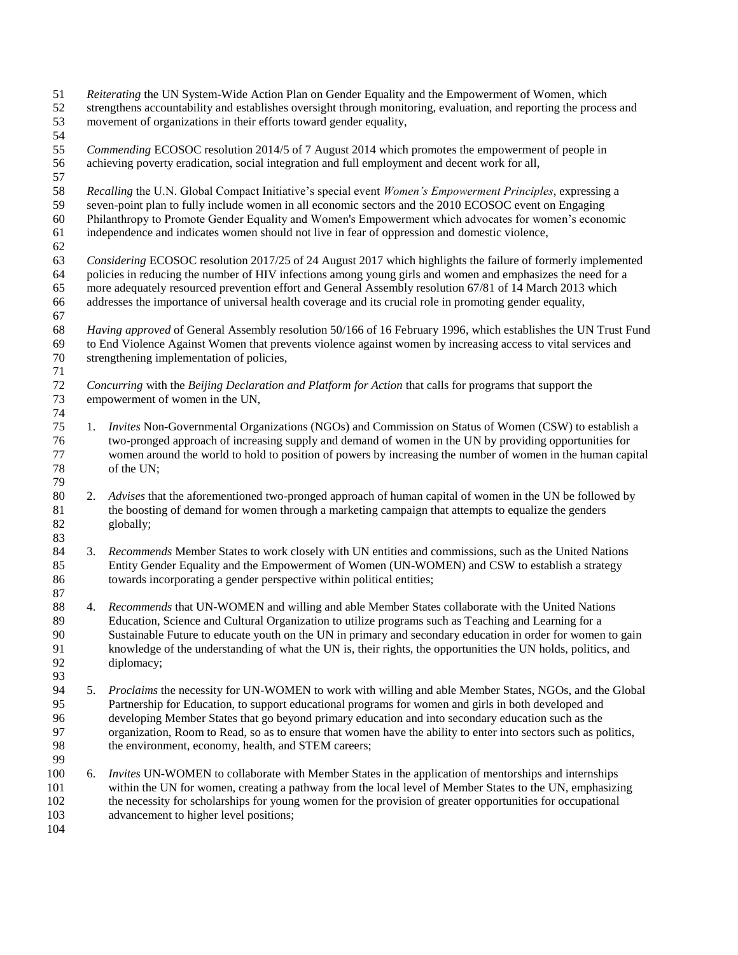- *Reiterating* the UN System-Wide Action Plan on Gender Equality and the Empowerment of Women, which strengthens accountability and establishes oversight through monitoring, evaluation, and reporting the process and movement of organizations in their efforts toward gender equality,
- 
- *Commending* ECOSOC resolution 2014/5 of 7 August 2014 which promotes the empowerment of people in achieving poverty eradication, social integration and full employment and decent work for all,
- 
- *Recalling* the U.N. Global Compact Initiative's special event *Women's Empowerment Principles*, expressing a
- seven-point plan to fully include women in all economic sectors and the 2010 ECOSOC event on Engaging Philanthropy to Promote Gender Equality and Women's Empowerment which advocates for women's economic
- independence and indicates women should not live in fear of oppression and domestic violence,
- *Considering* ECOSOC resolution 2017/25 of 24 August 2017 which highlights the failure of formerly implemented policies in reducing the number of HIV infections among young girls and women and emphasizes the need for a more adequately resourced prevention effort and General Assembly resolution 67/81 of 14 March 2013 which addresses the importance of universal health coverage and its crucial role in promoting gender equality,
- *Having approved* of General Assembly resolution 50/166 of 16 February 1996, which establishes the UN Trust Fund to End Violence Against Women that prevents violence against women by increasing access to vital services and strengthening implementation of policies,
- *Concurring* with the *Beijing Declaration and Platform for Action* that calls for programs that support the empowerment of women in the UN,
- 1. *Invites* Non-Governmental Organizations (NGOs) and Commission on Status of Women (CSW) to establish a two-pronged approach of increasing supply and demand of women in the UN by providing opportunities for women around the world to hold to position of powers by increasing the number of women in the human capital of the UN;
- 2. *Advises* that the aforementioned two-pronged approach of human capital of women in the UN be followed by the boosting of demand for women through a marketing campaign that attempts to equalize the genders globally;
- 3. *Recommends* Member States to work closely with UN entities and commissions, such as the United Nations Entity Gender Equality and the Empowerment of Women (UN-WOMEN) and CSW to establish a strategy towards incorporating a gender perspective within political entities;
- 4. *Recommends* that UN-WOMEN and willing and able Member States collaborate with the United Nations Education, Science and Cultural Organization to utilize programs such as Teaching and Learning for a Sustainable Future to educate youth on the UN in primary and secondary education in order for women to gain knowledge of the understanding of what the UN is, their rights, the opportunities the UN holds, politics, and diplomacy;
- 5. *Proclaims* the necessity for UN-WOMEN to work with willing and able Member States, NGOs, and the Global Partnership for Education, to support educational programs for women and girls in both developed and 96 developing Member States that go beyond primary education and into secondary education such as the organization. Room to Read, so as to ensure that women have the ability to enter into sectors such as po organization, Room to Read, so as to ensure that women have the ability to enter into sectors such as politics, the environment, economy, health, and STEM careers;
- 6. *Invites* UN-WOMEN to collaborate with Member States in the application of mentorships and internships within the UN for women, creating a pathway from the local level of Member States to the UN, emphasizing the necessity for scholarships for young women for the provision of greater opportunities for occupational advancement to higher level positions;
-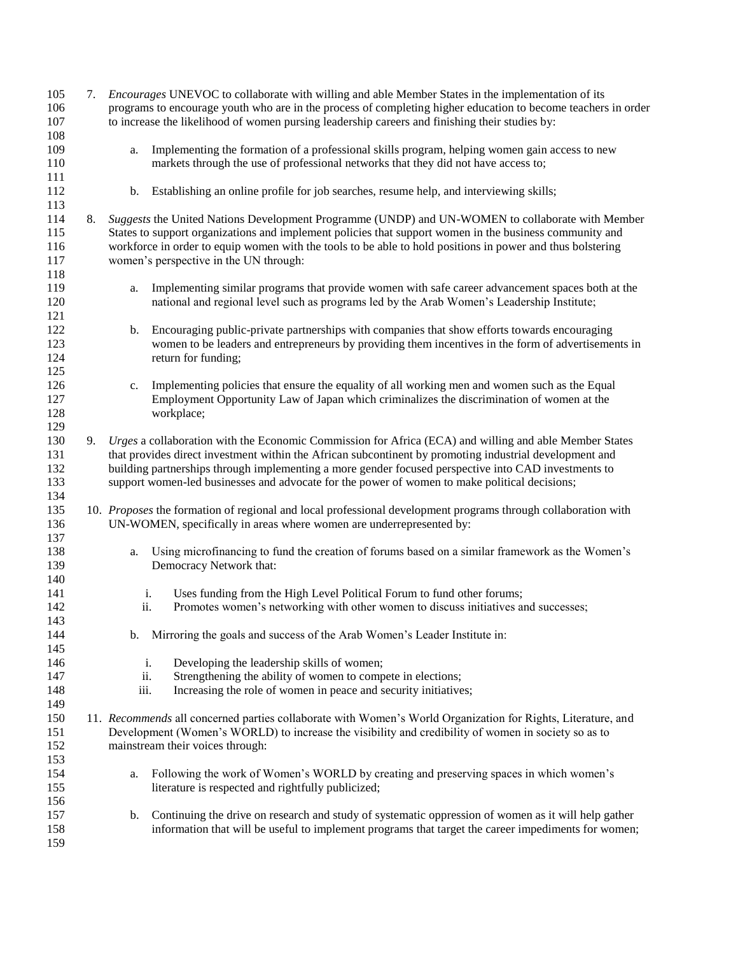| 105     | 7. | <i>Encourages</i> UNEVOC to collaborate with willing and able Member States in the implementation of its              |
|---------|----|-----------------------------------------------------------------------------------------------------------------------|
| 106     |    | programs to encourage youth who are in the process of completing higher education to become teachers in order         |
| 107     |    | to increase the likelihood of women pursing leadership careers and finishing their studies by:                        |
| $108\,$ |    |                                                                                                                       |
| 109     |    | Implementing the formation of a professional skills program, helping women gain access to new<br>a.                   |
| 110     |    | markets through the use of professional networks that they did not have access to;                                    |
| 111     |    |                                                                                                                       |
| 112     |    | Establishing an online profile for job searches, resume help, and interviewing skills;<br>b.                          |
| 113     |    |                                                                                                                       |
| 114     | 8. | Suggests the United Nations Development Programme (UNDP) and UN-WOMEN to collaborate with Member                      |
| 115     |    | States to support organizations and implement policies that support women in the business community and               |
| 116     |    | workforce in order to equip women with the tools to be able to hold positions in power and thus bolstering            |
| 117     |    | women's perspective in the UN through:                                                                                |
| 118     |    |                                                                                                                       |
| 119     |    | Implementing similar programs that provide women with safe career advancement spaces both at the<br>a.                |
| 120     |    | national and regional level such as programs led by the Arab Women's Leadership Institute;                            |
| 121     |    |                                                                                                                       |
| 122     |    | Encouraging public-private partnerships with companies that show efforts towards encouraging<br>b.                    |
| 123     |    | women to be leaders and entrepreneurs by providing them incentives in the form of advertisements in                   |
| 124     |    |                                                                                                                       |
| 125     |    | return for funding;                                                                                                   |
|         |    |                                                                                                                       |
| 126     |    | Implementing policies that ensure the equality of all working men and women such as the Equal<br>c.                   |
| 127     |    | Employment Opportunity Law of Japan which criminalizes the discrimination of women at the                             |
| 128     |    | workplace;                                                                                                            |
| 129     |    |                                                                                                                       |
| 130     | 9. | Urges a collaboration with the Economic Commission for Africa (ECA) and willing and able Member States                |
| 131     |    | that provides direct investment within the African subcontinent by promoting industrial development and               |
| 132     |    | building partnerships through implementing a more gender focused perspective into CAD investments to                  |
| 133     |    | support women-led businesses and advocate for the power of women to make political decisions;                         |
| 134     |    |                                                                                                                       |
| 135     |    | 10. Proposes the formation of regional and local professional development programs through collaboration with         |
| 136     |    | UN-WOMEN, specifically in areas where women are underrepresented by:                                                  |
| 137     |    |                                                                                                                       |
| 138     |    | Using microfinancing to fund the creation of forums based on a similar framework as the Women's<br>a.                 |
| 139     |    | Democracy Network that:                                                                                               |
| 140     |    |                                                                                                                       |
| 141     |    | Uses funding from the High Level Political Forum to fund other forums;<br>i.                                          |
| 142     |    | Promotes women's networking with other women to discuss initiatives and successes;<br>ii.                             |
| 143     |    |                                                                                                                       |
| 144     |    | b. Mirroring the goals and success of the Arab Women's Leader Institute in:                                           |
| 145     |    |                                                                                                                       |
| 146     |    | Developing the leadership skills of women;<br>i.                                                                      |
| 147     |    | Strengthening the ability of women to compete in elections;<br>ii.                                                    |
| 148     |    | iii.<br>Increasing the role of women in peace and security initiatives;                                               |
| 149     |    |                                                                                                                       |
| 150     |    | 11. Recommends all concerned parties collaborate with Women's World Organization for Rights, Literature, and          |
| 151     |    | Development (Women's WORLD) to increase the visibility and credibility of women in society so as to                   |
| 152     |    | mainstream their voices through:                                                                                      |
| 153     |    |                                                                                                                       |
| 154     |    | Following the work of Women's WORLD by creating and preserving spaces in which women's<br>a.                          |
| 155     |    | literature is respected and rightfully publicized;                                                                    |
| 156     |    |                                                                                                                       |
| 157     |    | Continuing the drive on research and study of systematic oppression of women as it will help gather<br>$\mathbf{b}$ . |
| 158     |    | information that will be useful to implement programs that target the career impediments for women;                   |
| 159     |    |                                                                                                                       |
|         |    |                                                                                                                       |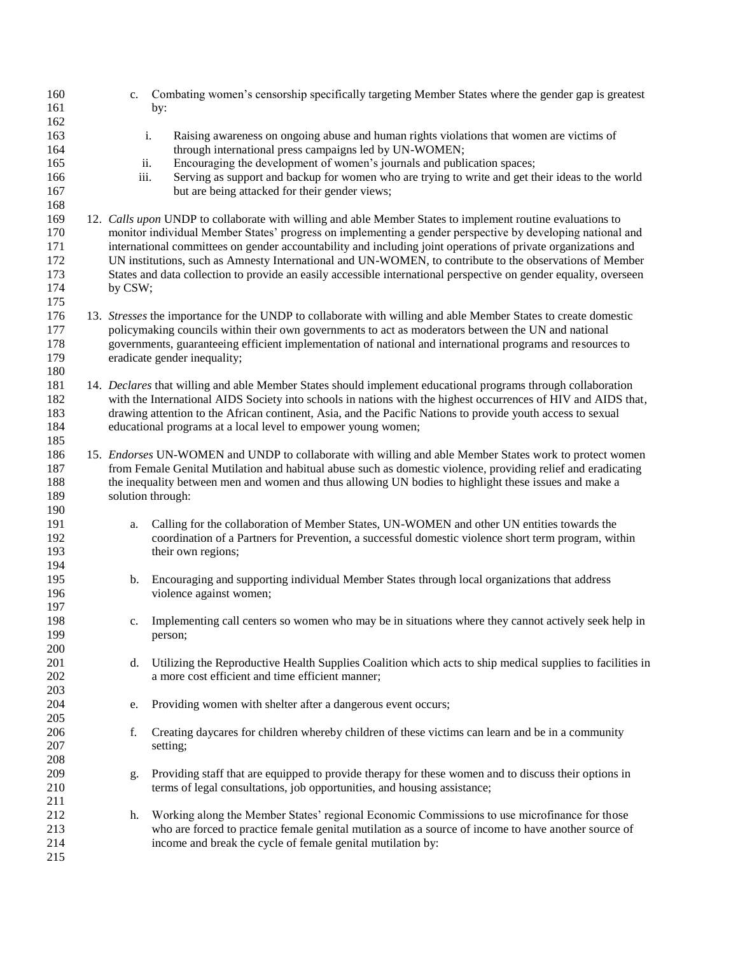| 160 | $c_{\cdot}$ | Combating women's censorship specifically targeting Member States where the gender gap is greatest                |
|-----|-------------|-------------------------------------------------------------------------------------------------------------------|
| 161 |             | by:                                                                                                               |
| 162 |             |                                                                                                                   |
| 163 |             | i.<br>Raising awareness on ongoing abuse and human rights violations that women are victims of                    |
| 164 |             | through international press campaigns led by UN-WOMEN;                                                            |
| 165 | ii.         | Encouraging the development of women's journals and publication spaces;                                           |
| 166 | iii.        | Serving as support and backup for women who are trying to write and get their ideas to the world                  |
| 167 |             | but are being attacked for their gender views;                                                                    |
| 168 |             |                                                                                                                   |
| 169 |             | 12. Calls upon UNDP to collaborate with willing and able Member States to implement routine evaluations to        |
| 170 |             | monitor individual Member States' progress on implementing a gender perspective by developing national and        |
| 171 |             | international committees on gender accountability and including joint operations of private organizations and     |
| 172 |             | UN institutions, such as Amnesty International and UN-WOMEN, to contribute to the observations of Member          |
| 173 |             | States and data collection to provide an easily accessible international perspective on gender equality, overseen |
| 174 | by CSW;     |                                                                                                                   |
| 175 |             |                                                                                                                   |
| 176 |             | 13. Stresses the importance for the UNDP to collaborate with willing and able Member States to create domestic    |
| 177 |             | policymaking councils within their own governments to act as moderators between the UN and national               |
| 178 |             | governments, guaranteeing efficient implementation of national and international programs and resources to        |
| 179 |             | eradicate gender inequality;                                                                                      |
| 180 |             |                                                                                                                   |
| 181 |             | 14. Declares that willing and able Member States should implement educational programs through collaboration      |
| 182 |             | with the International AIDS Society into schools in nations with the highest occurrences of HIV and AIDS that,    |
| 183 |             | drawing attention to the African continent, Asia, and the Pacific Nations to provide youth access to sexual       |
| 184 |             | educational programs at a local level to empower young women;                                                     |
| 185 |             |                                                                                                                   |
| 186 |             | 15. Endorses UN-WOMEN and UNDP to collaborate with willing and able Member States work to protect women           |
| 187 |             | from Female Genital Mutilation and habitual abuse such as domestic violence, providing relief and eradicating     |
| 188 |             | the inequality between men and women and thus allowing UN bodies to highlight these issues and make a             |
| 189 |             | solution through:                                                                                                 |
| 190 |             |                                                                                                                   |
| 191 | a.          | Calling for the collaboration of Member States, UN-WOMEN and other UN entities towards the                        |
| 192 |             | coordination of a Partners for Prevention, a successful domestic violence short term program, within              |
| 193 |             | their own regions;                                                                                                |
| 194 |             |                                                                                                                   |
| 195 | b.          | Encouraging and supporting individual Member States through local organizations that address                      |
| 196 |             | violence against women;                                                                                           |
| 197 |             |                                                                                                                   |
| 198 | c.          | Implementing call centers so women who may be in situations where they cannot actively seek help in               |
| 199 |             | person;                                                                                                           |
| 200 |             |                                                                                                                   |
| 201 | d.          | Utilizing the Reproductive Health Supplies Coalition which acts to ship medical supplies to facilities in         |
| 202 |             | a more cost efficient and time efficient manner;                                                                  |
| 203 |             |                                                                                                                   |
| 204 | e.          | Providing women with shelter after a dangerous event occurs;                                                      |
| 205 |             |                                                                                                                   |
| 206 | f.          | Creating daycares for children whereby children of these victims can learn and be in a community                  |
| 207 |             | setting;                                                                                                          |
| 208 |             |                                                                                                                   |
| 209 | g.          | Providing staff that are equipped to provide therapy for these women and to discuss their options in              |
| 210 |             | terms of legal consultations, job opportunities, and housing assistance;                                          |
| 211 |             |                                                                                                                   |
| 212 | h.          | Working along the Member States' regional Economic Commissions to use microfinance for those                      |
| 213 |             | who are forced to practice female genital mutilation as a source of income to have another source of              |
| 214 |             | income and break the cycle of female genital mutilation by:                                                       |
| 215 |             |                                                                                                                   |